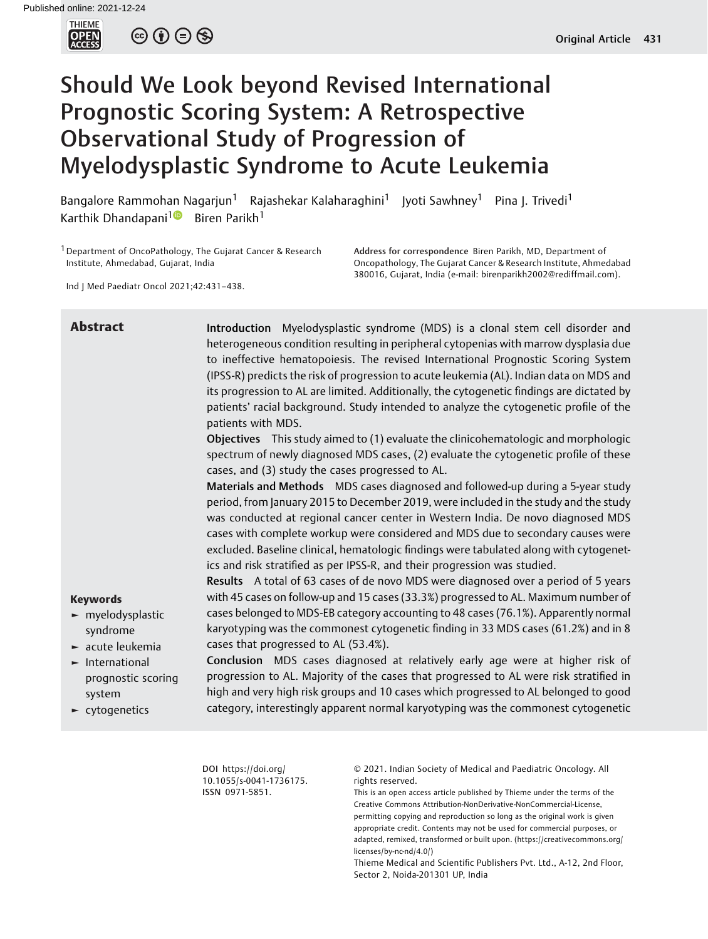THIEME<br>**OPEN**<br>ACCESS

 $\circledcirc \circledcirc \circledcirc$ 

# Should We Look beyond Revised International Prognostic Scoring System: A Retrospective Observational Study of Progression of Myelodysplastic Syndrome to Acute Leukemia

Bangalore Rammohan Nagarjun<sup>1</sup> Rajashekar Kalaharaghini<sup>1</sup> Jyoti Sawhney<sup>1</sup> Pina J. Trivedi<sup>1</sup> Karthik Dhandapani<sup>[1](https://orcid.org/0000-0001-6985-8636)</sup> Biren Parikh<sup>1</sup>

<sup>1</sup> Department of OncoPathology, The Gujarat Cancer & Research Institute, Ahmedabad, Gujarat, India

Ind J Med Paediatr Oncol 2021;42:431–438.

Address for correspondence Biren Parikh, MD, Department of Oncopathology, The Gujarat Cancer & Research Institute, Ahmedabad 380016, Gujarat, India (e-mail: [birenparikh2002@rediffmail.com](mailto:birenparikh2002@rediffmail.com)).

| <b>Abstract</b>                                                                                              | Introduction Myelodysplastic syndrome (MDS) is a clonal stem cell disorder and<br>heterogeneous condition resulting in peripheral cytopenias with marrow dysplasia due<br>to ineffective hematopoiesis. The revised International Prognostic Scoring System<br>(IPSS-R) predicts the risk of progression to acute leukemia (AL). Indian data on MDS and<br>its progression to AL are limited. Additionally, the cytogenetic findings are dictated by<br>patients' racial background. Study intended to analyze the cytogenetic profile of the<br>patients with MDS.<br>Objectives This study aimed to (1) evaluate the clinicohematologic and morphologic<br>spectrum of newly diagnosed MDS cases, (2) evaluate the cytogenetic profile of these<br>cases, and (3) study the cases progressed to AL.<br>Materials and Methods MDS cases diagnosed and followed-up during a 5-year study<br>period, from January 2015 to December 2019, were included in the study and the study<br>was conducted at regional cancer center in Western India. De novo diagnosed MDS<br>cases with complete workup were considered and MDS due to secondary causes were<br>excluded. Baseline clinical, hematologic findings were tabulated along with cytogenet<br>ics and risk stratified as per IPSS-R, and their progression was studied. |
|--------------------------------------------------------------------------------------------------------------|------------------------------------------------------------------------------------------------------------------------------------------------------------------------------------------------------------------------------------------------------------------------------------------------------------------------------------------------------------------------------------------------------------------------------------------------------------------------------------------------------------------------------------------------------------------------------------------------------------------------------------------------------------------------------------------------------------------------------------------------------------------------------------------------------------------------------------------------------------------------------------------------------------------------------------------------------------------------------------------------------------------------------------------------------------------------------------------------------------------------------------------------------------------------------------------------------------------------------------------------------------------------------------------------------------------------------|
| <b>Keywords</b><br>$\blacktriangleright$ myelodysplastic<br>syndrome<br>$\blacktriangleright$ acute leukemia | Results A total of 63 cases of de novo MDS were diagnosed over a period of 5 years<br>with 45 cases on follow-up and 15 cases (33.3%) progressed to AL. Maximum number of<br>cases belonged to MDS-EB category accounting to 48 cases (76.1%). Apparently normal<br>karyotyping was the commonest cytogenetic finding in 33 MDS cases (61.2%) and in 8<br>cases that progressed to AL (53.4%).                                                                                                                                                                                                                                                                                                                                                                                                                                                                                                                                                                                                                                                                                                                                                                                                                                                                                                                               |
| $\blacktriangleright$ International<br>prognostic scoring<br>system<br>$\blacktriangleright$ cytogenetics    | Conclusion MDS cases diagnosed at relatively early age were at higher risk of<br>progression to AL. Majority of the cases that progressed to AL were risk stratified in<br>high and very high risk groups and 10 cases which progressed to AL belonged to good<br>category, interestingly apparent normal karyotyping was the commonest cytogenetic                                                                                                                                                                                                                                                                                                                                                                                                                                                                                                                                                                                                                                                                                                                                                                                                                                                                                                                                                                          |

DOI [https://doi.org/](https://doi.org/10.1055/s-0041-1736175) [10.1055/s-0041-1736175](https://doi.org/10.1055/s-0041-1736175). ISSN 0971-5851.

© 2021. Indian Society of Medical and Paediatric Oncology. All rights reserved.

This is an open access article published by Thieme under the terms of the Creative Commons Attribution-NonDerivative-NonCommercial-License, permitting copying and reproduction so long as the original work is given appropriate credit. Contents may not be used for commercial purposes, or adapted, remixed, transformed or built upon. (https://creativecommons.org/ licenses/by-nc-nd/4.0/)

Thieme Medical and Scientific Publishers Pvt. Ltd., A-12, 2nd Floor, Sector 2, Noida-201301 UP, India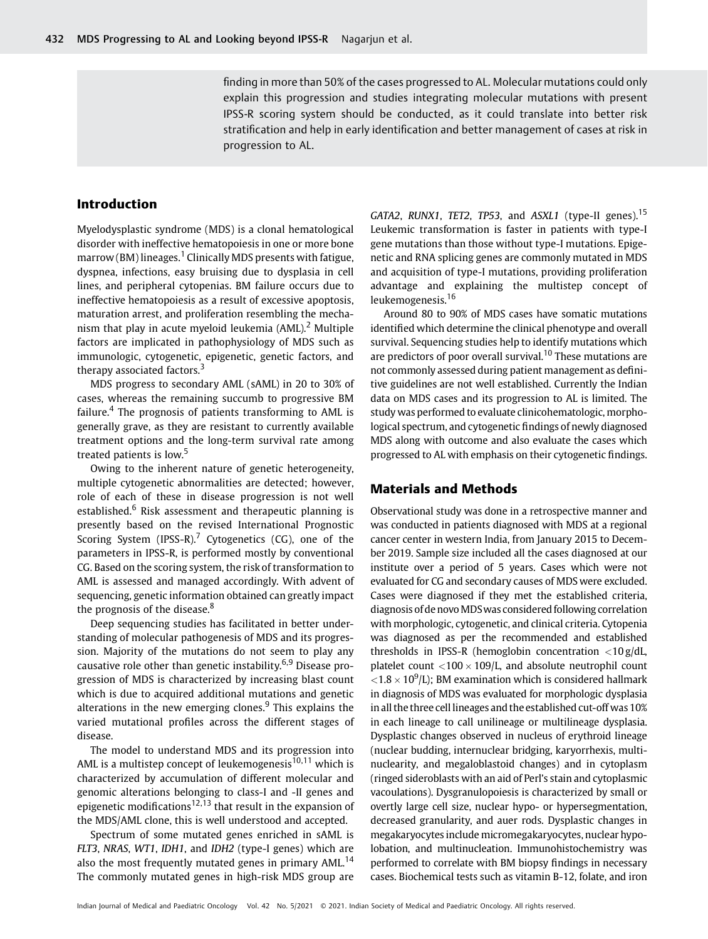finding in more than 50% of the cases progressed to AL. Molecular mutations could only explain this progression and studies integrating molecular mutations with present IPSS-R scoring system should be conducted, as it could translate into better risk stratification and help in early identification and better management of cases at risk in progression to AL.

# Introduction

Myelodysplastic syndrome (MDS) is a clonal hematological disorder with ineffective hematopoiesis in one or more bone  $marrow(BM)$  lineages.<sup>1</sup> Clinically MDS presents with fatigue, dyspnea, infections, easy bruising due to dysplasia in cell lines, and peripheral cytopenias. BM failure occurs due to ineffective hematopoiesis as a result of excessive apoptosis, maturation arrest, and proliferation resembling the mechanism that play in acute myeloid leukemia (AML).<sup>2</sup> Multiple factors are implicated in pathophysiology of MDS such as immunologic, cytogenetic, epigenetic, genetic factors, and therapy associated factors.<sup>3</sup>

MDS progress to secondary AML (sAML) in 20 to 30% of cases, whereas the remaining succumb to progressive BM failure.<sup>4</sup> The prognosis of patients transforming to AML is generally grave, as they are resistant to currently available treatment options and the long-term survival rate among treated patients is low.<sup>5</sup>

Owing to the inherent nature of genetic heterogeneity, multiple cytogenetic abnormalities are detected; however, role of each of these in disease progression is not well established.<sup>6</sup> Risk assessment and therapeutic planning is presently based on the revised International Prognostic Scoring System (IPSS-R).<sup>7</sup> Cytogenetics (CG), one of the parameters in IPSS-R, is performed mostly by conventional CG. Based on the scoring system, the risk of transformation to AML is assessed and managed accordingly. With advent of sequencing, genetic information obtained can greatly impact the prognosis of the disease.<sup>8</sup>

Deep sequencing studies has facilitated in better understanding of molecular pathogenesis of MDS and its progression. Majority of the mutations do not seem to play any causative role other than genetic instability.<sup>6,9</sup> Disease progression of MDS is characterized by increasing blast count which is due to acquired additional mutations and genetic alterations in the new emerging clones. $9$  This explains the varied mutational profiles across the different stages of disease.

The model to understand MDS and its progression into AML is a multistep concept of leukemogenesis<sup>10,11</sup> which is characterized by accumulation of different molecular and genomic alterations belonging to class-I and -II genes and epigenetic modifications<sup>12,13</sup> that result in the expansion of the MDS/AML clone, this is well understood and accepted.

Spectrum of some mutated genes enriched in sAML is FLT3, NRAS, WT1, IDH1, and IDH2 (type-I genes) which are also the most frequently mutated genes in primary AML.<sup>14</sup> The commonly mutated genes in high-risk MDS group are GATA2, RUNX1, TET2, TP53, and ASXL1 (type-II genes).<sup>15</sup> Leukemic transformation is faster in patients with type-I gene mutations than those without type-I mutations. Epigenetic and RNA splicing genes are commonly mutated in MDS and acquisition of type-I mutations, providing proliferation advantage and explaining the multistep concept of leukemogenesis.<sup>16</sup>

Around 80 to 90% of MDS cases have somatic mutations identified which determine the clinical phenotype and overall survival. Sequencing studies help to identify mutations which are predictors of poor overall survival.<sup>10</sup> These mutations are not commonly assessed during patient management as definitive guidelines are not well established. Currently the Indian data on MDS cases and its progression to AL is limited. The study was performed to evaluate clinicohematologic, morphological spectrum, and cytogenetic findings of newly diagnosed MDS along with outcome and also evaluate the cases which progressed to AL with emphasis on their cytogenetic findings.

### Materials and Methods

Observational study was done in a retrospective manner and was conducted in patients diagnosed with MDS at a regional cancer center in western India, from January 2015 to December 2019. Sample size included all the cases diagnosed at our institute over a period of 5 years. Cases which were not evaluated for CG and secondary causes of MDS were excluded. Cases were diagnosed if they met the established criteria, diagnosis of de novoMDSwas considered following correlation with morphologic, cytogenetic, and clinical criteria. Cytopenia was diagnosed as per the recommended and established thresholds in IPSS-R (hemoglobin concentration  $\langle 10 \text{ g}/dL$ , platelet count  $\langle 100 \times 109 \rangle$ L, and absolute neutrophil count  $<$ 1.8  $\times$  10<sup>9</sup>/L); BM examination which is considered hallmark in diagnosis of MDS was evaluated for morphologic dysplasia in all the three cell lineages and the established cut-off was 10% in each lineage to call unilineage or multilineage dysplasia. Dysplastic changes observed in nucleus of erythroid lineage (nuclear budding, internuclear bridging, karyorrhexis, multinuclearity, and megaloblastoid changes) and in cytoplasm (ringed sideroblasts with an aid of Perl's stain and cytoplasmic vacoulations). Dysgranulopoiesis is characterized by small or overtly large cell size, nuclear hypo- or hypersegmentation, decreased granularity, and auer rods. Dysplastic changes in megakaryocytes include micromegakaryocytes, nuclear hypolobation, and multinucleation. Immunohistochemistry was performed to correlate with BM biopsy findings in necessary cases. Biochemical tests such as vitamin B-12, folate, and iron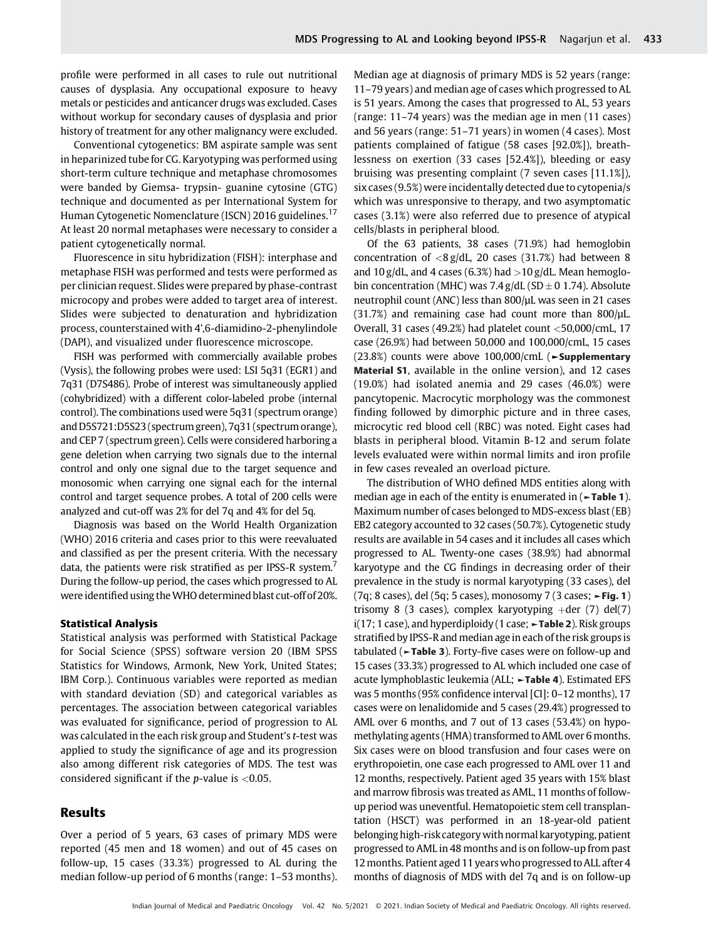profile were performed in all cases to rule out nutritional causes of dysplasia. Any occupational exposure to heavy metals or pesticides and anticancer drugs was excluded. Cases without workup for secondary causes of dysplasia and prior history of treatment for any other malignancy were excluded.

Conventional cytogenetics: BM aspirate sample was sent in heparinized tube for CG. Karyotyping was performed using short-term culture technique and metaphase chromosomes were banded by Giemsa- trypsin- guanine cytosine (GTG) technique and documented as per International System for Human Cytogenetic Nomenclature (ISCN) 2016 guidelines.<sup>17</sup> At least 20 normal metaphases were necessary to consider a patient cytogenetically normal.

Fluorescence in situ hybridization (FISH): interphase and metaphase FISH was performed and tests were performed as per clinician request. Slides were prepared by phase-contrast microcopy and probes were added to target area of interest. Slides were subjected to denaturation and hybridization process, counterstained with 4',6-diamidino-2-phenylindole (DAPI), and visualized under fluorescence microscope.

FISH was performed with commercially available probes (Vysis), the following probes were used: LSI 5q31 (EGR1) and 7q31 (D7S486). Probe of interest was simultaneously applied (cohybridized) with a different color-labeled probe (internal control). The combinations used were 5q31 (spectrum orange) and D5S721:D5S23 (spectrum green), 7q31 (spectrum orange), and CEP 7 (spectrum green). Cells were considered harboring a gene deletion when carrying two signals due to the internal control and only one signal due to the target sequence and monosomic when carrying one signal each for the internal control and target sequence probes. A total of 200 cells were analyzed and cut-off was 2% for del 7q and 4% for del 5q.

Diagnosis was based on the World Health Organization (WHO) 2016 criteria and cases prior to this were reevaluated and classified as per the present criteria. With the necessary data, the patients were risk stratified as per IPSS-R system.<sup>7</sup> During the follow-up period, the cases which progressed to AL were identified using theWHO determined blast cut-off of 20%.

#### Statistical Analysis

Statistical analysis was performed with Statistical Package for Social Science (SPSS) software version 20 (IBM SPSS Statistics for Windows, Armonk, New York, United States; IBM Corp.). Continuous variables were reported as median with standard deviation (SD) and categorical variables as percentages. The association between categorical variables was evaluated for significance, period of progression to AL was calculated in the each risk group and Student's t-test was applied to study the significance of age and its progression also among different risk categories of MDS. The test was considered significant if the  $p$ -value is <0.05.

#### Results

Over a period of 5 years, 63 cases of primary MDS were reported (45 men and 18 women) and out of 45 cases on follow-up, 15 cases (33.3%) progressed to AL during the median follow-up period of 6 months (range: 1–53 months). Median age at diagnosis of primary MDS is 52 years (range: 11–79 years) and median age of cases which progressed to AL is 51 years. Among the cases that progressed to AL, 53 years (range: 11–74 years) was the median age in men (11 cases) and 56 years (range: 51–71 years) in women (4 cases). Most patients complained of fatigue (58 cases [92.0%]), breathlessness on exertion (33 cases [52.4%]), bleeding or easy bruising was presenting complaint (7 seven cases [11.1%]), six cases (9.5%) were incidentally detected due to cytopenia/s which was unresponsive to therapy, and two asymptomatic cases (3.1%) were also referred due to presence of atypical cells/blasts in peripheral blood.

Of the 63 patients, 38 cases (71.9%) had hemoglobin concentration of  $\langle 8 \text{ g/dL} \rangle$ , 20 cases (31.7%) had between 8 and  $10$  g/dL, and 4 cases (6.3%) had  $>10$  g/dL. Mean hemoglobin concentration (MHC) was  $7.4$  g/dL (SD  $\pm$  0 1.74). Absolute neutrophil count (ANC) less than 800/µL was seen in 21 cases  $(31.7%)$  and remaining case had count more than 800/ $\mu$ L. Overall, 31 cases (49.2%) had platelet count <50,000/cmL, 17 case (26.9%) had between 50,000 and 100,000/cmL, 15 cases (23.8%) counts were above 100,000/cmL (►Supplementary Material S1, available in the online version), and 12 cases (19.0%) had isolated anemia and 29 cases (46.0%) were pancytopenic. Macrocytic morphology was the commonest finding followed by dimorphic picture and in three cases, microcytic red blood cell (RBC) was noted. Eight cases had blasts in peripheral blood. Vitamin B-12 and serum folate levels evaluated were within normal limits and iron profile in few cases revealed an overload picture.

The distribution of WHO defined MDS entities along with median age in each of the entity is enumerated in  $($  >Table 1). Maximum number of cases belonged to MDS-excess blast (EB) EB2 category accounted to 32 cases (50.7%). Cytogenetic study results are available in 54 cases and it includes all cases which progressed to AL. Twenty-one cases (38.9%) had abnormal karyotype and the CG findings in decreasing order of their prevalence in the study is normal karyotyping (33 cases), del (7q; 8 cases), del (5q; 5 cases), monosomy 7 (3 cases; ►Fig. 1) trisomy 8 (3 cases), complex karyotyping  $+$ der (7) del(7) i(17; 1 case), and hyperdiploidy (1 case;  $\blacktriangleright$  Table 2). Risk groups stratified by IPSS-R and median age in each of the risk groups is tabulated (►Table 3). Forty-five cases were on follow-up and 15 cases (33.3%) progressed to AL which included one case of acute lymphoblastic leukemia (ALL; ►Table 4). Estimated EFS was 5 months (95% confidence interval [CI]: 0–12 months), 17 cases were on lenalidomide and 5 cases (29.4%) progressed to AML over 6 months, and 7 out of 13 cases (53.4%) on hypomethylating agents (HMA) transformed to AML over 6 months. Six cases were on blood transfusion and four cases were on erythropoietin, one case each progressed to AML over 11 and 12 months, respectively. Patient aged 35 years with 15% blast and marrow fibrosis was treated as AML, 11 months of followup period was uneventful. Hematopoietic stem cell transplantation (HSCT) was performed in an 18-year-old patient belonging high-riskcategory with normal karyotyping, patient progressed to AML in 48 months and is on follow-up from past 12months. Patient aged 11 years who progressed to ALL after 4 months of diagnosis of MDS with del 7q and is on follow-up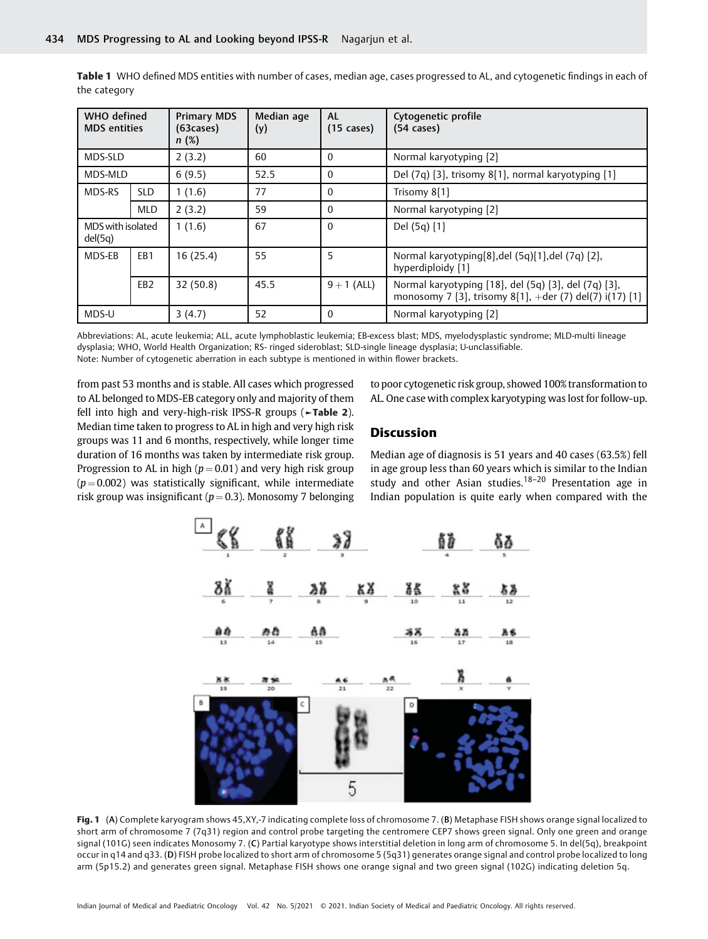| WHO defined<br><b>MDS</b> entities |                 | <b>Primary MDS</b><br>(63 cases)<br>n(%) | Median age<br>(y) | <b>AL</b><br>$(15 \text{ cases})$ | Cytogenetic profile<br>$(54 \text{ cases})$                                                                                    |
|------------------------------------|-----------------|------------------------------------------|-------------------|-----------------------------------|--------------------------------------------------------------------------------------------------------------------------------|
| MDS-SLD                            |                 | 2(3.2)                                   | 60                | $\Omega$                          | Normal karyotyping [2]                                                                                                         |
| MDS-MLD                            |                 | 6(9.5)                                   | 52.5              | $\Omega$                          | Del (7q) [3], trisomy 8[1], normal karyotyping [1]                                                                             |
| MDS-RS                             | <b>SLD</b>      | 1(1.6)                                   | 77                | $\Omega$                          | Trisomy $8[1]$                                                                                                                 |
|                                    | <b>MLD</b>      | 2(3.2)                                   | 59                | $\Omega$                          | Normal karyotyping [2]                                                                                                         |
| MDS with isolated<br>del(5q)       |                 | 1(1.6)                                   | 67                | $\Omega$                          | Del $(5q)$ $\{1\}$                                                                                                             |
| MDS-EB                             | EB1             | 16(25.4)                                 | 55                | 5                                 | Normal karyotyping[8], del (5q)[1], del (7q) [2],<br>hyperdiploidy {1}                                                         |
|                                    | EB <sub>2</sub> | 32(50.8)                                 | 45.5              | $9 + 1$ (ALL)                     | Normal karyotyping {18}, del (5q) {3}, del (7q) {3},<br>monosomy 7 $\{3\}$ , trisomy 8 $\{1\}$ , +der (7) del(7) i(17) $\{1\}$ |
| MDS-U                              |                 | 3(4.7)                                   | 52                | $\Omega$                          | Normal karyotyping [2]                                                                                                         |

Table 1 WHO defined MDS entities with number of cases, median age, cases progressed to AL, and cytogenetic findings in each of the category

Abbreviations: AL, acute leukemia; ALL, acute lymphoblastic leukemia; EB-excess blast; MDS, myelodysplastic syndrome; MLD-multi lineage dysplasia; WHO, World Health Organization; RS- ringed sideroblast; SLD-single lineage dysplasia; U-unclassifiable. Note: Number of cytogenetic aberration in each subtype is mentioned in within flower brackets.

from past 53 months and is stable. All cases which progressed to AL belonged to MDS-EB category only and majority of them fell into high and very-high-risk IPSS-R groups (►Table 2). Median time taken to progress to AL in high and very high risk groups was 11 and 6 months, respectively, while longer time duration of 16 months was taken by intermediate risk group. Progression to AL in high ( $p = 0.01$ ) and very high risk group  $(p = 0.002)$  was statistically significant, while intermediate risk group was insignificant ( $p = 0.3$ ). Monosomy 7 belonging

to poor cytogenetic risk group, showed 100% transformation to AL. One case with complex karyotyping was lost for follow-up.

# **Discussion**

Median age of diagnosis is 51 years and 40 cases (63.5%) fell in age group less than 60 years which is similar to the Indian study and other Asian studies.18–<sup>20</sup> Presentation age in Indian population is quite early when compared with the



Fig. 1 (A) Complete karyogram shows 45,XY,-7 indicating complete loss of chromosome 7. (B) Metaphase FISH shows orange signal localized to short arm of chromosome 7 (7q31) region and control probe targeting the centromere CEP7 shows green signal. Only one green and orange signal (101G) seen indicates Monosomy 7. (C) Partial karyotype shows interstitial deletion in long arm of chromosome 5. In del(5q), breakpoint occur in q14 and q33. (D) FISH probe localized to short arm of chromosome 5 (5q31) generates orange signal and control probe localized to long arm (5p15.2) and generates green signal. Metaphase FISH shows one orange signal and two green signal (102G) indicating deletion 5q.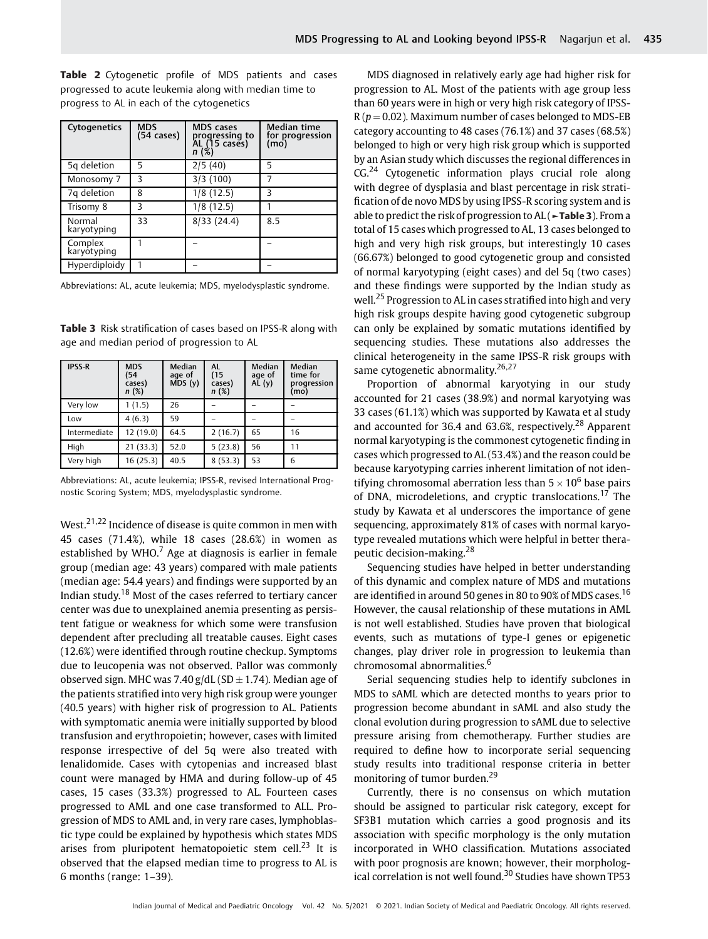Table 2 Cytogenetic profile of MDS patients and cases progressed to acute leukemia along with median time to progress to AL in each of the cytogenetics

| Cytogenetics           | <b>MDS</b><br>(54 cases) | <b>MDS</b> cases<br>progressing to<br>AL (15 cases)<br>n (%) | Median time<br>for progression<br>(mo) |
|------------------------|--------------------------|--------------------------------------------------------------|----------------------------------------|
| 5q deletion            | 5                        | 2/5(40)                                                      | 5                                      |
| Monosomy 7             | 3                        | 3/3(100)                                                     |                                        |
| 7q deletion            | 8                        | 1/8(12.5)                                                    | ς                                      |
| Trisomy 8              | 3                        | 1/8(12.5)                                                    |                                        |
| Normal<br>karyotyping  | 33                       | 8/33(24.4)                                                   | 8.5                                    |
| Complex<br>karyotyping |                          |                                                              |                                        |
| Hyperdiploidy          |                          |                                                              |                                        |

Abbreviations: AL, acute leukemia; MDS, myelodysplastic syndrome.

Table 3 Risk stratification of cases based on IPSS-R along with age and median period of progression to AL

| <b>IPSS-R</b> | <b>MDS</b><br>(54<br>cases)<br>n(%) | <b>Median</b><br>age of<br>MDS(y) | <b>AL</b><br>(15)<br>cases)<br>n(%) | <b>Median</b><br>age of<br>AL(y) | Median<br>time for<br>progression<br>(mo) |
|---------------|-------------------------------------|-----------------------------------|-------------------------------------|----------------------------------|-------------------------------------------|
| Very low      | 1(1.5)                              | 26                                |                                     |                                  |                                           |
| Low           | 4(6.3)                              | 59                                |                                     |                                  |                                           |
| Intermediate  | 12 (19.0)                           | 64.5                              | 2(16.7)                             | 65                               | 16                                        |
| High          | 21(33.3)                            | 52.0                              | 5(23.8)                             | 56                               | 11                                        |
| Very high     | 16(25.3)                            | 40.5                              | 8(53.3)                             | 53                               | 6                                         |

Abbreviations: AL, acute leukemia; IPSS-R, revised International Prognostic Scoring System; MDS, myelodysplastic syndrome.

West.<sup>21,22</sup> Incidence of disease is quite common in men with 45 cases (71.4%), while 18 cases (28.6%) in women as established by WHO. $<sup>7</sup>$  Age at diagnosis is earlier in female</sup> group (median age: 43 years) compared with male patients (median age: 54.4 years) and findings were supported by an Indian study.<sup>18</sup> Most of the cases referred to tertiary cancer center was due to unexplained anemia presenting as persistent fatigue or weakness for which some were transfusion dependent after precluding all treatable causes. Eight cases (12.6%) were identified through routine checkup. Symptoms due to leucopenia was not observed. Pallor was commonly observed sign. MHC was 7.40 g/dL (SD  $\pm$  1.74). Median age of the patients stratified into very high risk group were younger (40.5 years) with higher risk of progression to AL. Patients with symptomatic anemia were initially supported by blood transfusion and erythropoietin; however, cases with limited response irrespective of del 5q were also treated with lenalidomide. Cases with cytopenias and increased blast count were managed by HMA and during follow-up of 45 cases, 15 cases (33.3%) progressed to AL. Fourteen cases progressed to AML and one case transformed to ALL. Progression of MDS to AML and, in very rare cases, lymphoblastic type could be explained by hypothesis which states MDS arises from pluripotent hematopoietic stem cell.<sup>23</sup> It is observed that the elapsed median time to progress to AL is 6 months (range: 1–39).

MDS diagnosed in relatively early age had higher risk for progression to AL. Most of the patients with age group less than 60 years were in high or very high risk category of IPSS- $R (p = 0.02)$ . Maximum number of cases belonged to MDS-EB category accounting to 48 cases (76.1%) and 37 cases (68.5%) belonged to high or very high risk group which is supported by an Asian study which discusses the regional differences in  $CG.<sup>24</sup>$  Cytogenetic information plays crucial role along with degree of dysplasia and blast percentage in risk stratification of de novo MDS by using IPSS-R scoring system and is able to predict the risk of progression to  $AL$  ( $\blacktriangleright$  **Table 3**). From a total of 15 cases which progressed to AL, 13 cases belonged to high and very high risk groups, but interestingly 10 cases (66.67%) belonged to good cytogenetic group and consisted of normal karyotyping (eight cases) and del 5q (two cases) and these findings were supported by the Indian study as well.<sup>25</sup> Progression to AL in cases stratified into high and very high risk groups despite having good cytogenetic subgroup can only be explained by somatic mutations identified by sequencing studies. These mutations also addresses the clinical heterogeneity in the same IPSS-R risk groups with same cytogenetic abnormality.<sup>26,27</sup>

Proportion of abnormal karyotying in our study accounted for 21 cases (38.9%) and normal karyotying was 33 cases (61.1%) which was supported by Kawata et al study and accounted for 36.4 and 63.6%, respectively.<sup>28</sup> Apparent normal karyotyping is the commonest cytogenetic finding in cases which progressed to AL (53.4%) and the reason could be because karyotyping carries inherent limitation of not identifying chromosomal aberration less than  $5 \times 10^6$  base pairs of DNA, microdeletions, and cryptic translocations.<sup>17</sup> The study by Kawata et al underscores the importance of gene sequencing, approximately 81% of cases with normal karyotype revealed mutations which were helpful in better therapeutic decision-making.<sup>28</sup>

Sequencing studies have helped in better understanding of this dynamic and complex nature of MDS and mutations are identified in around 50 genes in 80 to 90% of MDS cases.<sup>16</sup> However, the causal relationship of these mutations in AML is not well established. Studies have proven that biological events, such as mutations of type-I genes or epigenetic changes, play driver role in progression to leukemia than chromosomal abnormalities.<sup>6</sup>

Serial sequencing studies help to identify subclones in MDS to sAML which are detected months to years prior to progression become abundant in sAML and also study the clonal evolution during progression to sAML due to selective pressure arising from chemotherapy. Further studies are required to define how to incorporate serial sequencing study results into traditional response criteria in better monitoring of tumor burden.<sup>29</sup>

Currently, there is no consensus on which mutation should be assigned to particular risk category, except for SF3B1 mutation which carries a good prognosis and its association with specific morphology is the only mutation incorporated in WHO classification. Mutations associated with poor prognosis are known; however, their morphological correlation is not well found.<sup>30</sup> Studies have shown TP53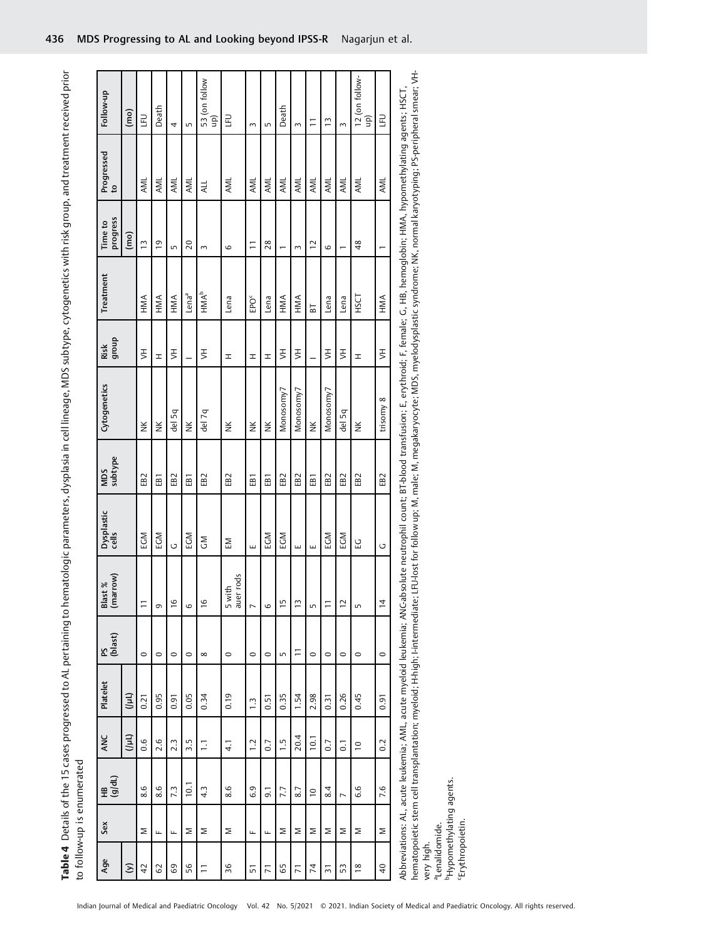Table 4 Details of the 15 cases progressed to AL pertaining to hematologic parameters, dysplasia in cell lineage, MDS subtype, cytogenetics with risk group, and treatment received prior Table 4 Details of the 15 cases progressed to AL pertaining to hematologic parameters, dysplasia in cell lineage, MDS subtype, cytogenetics with risk group, and treatment received prior to follow-up is enumerated to follow-up is enumerated

|                                                  |                                      | <b>Property for the second of the Second Second Second Second Second Second Second Second Second Second Second Second Second Second Second Second Second Second Second Second Second Second Second Second Second Second Second S</b> |                  |                                                                             |                 |                     |                     |                 |                                                                                                                                                                                                                                                                                                                                           |                |                   |                             |                            |                            |
|--------------------------------------------------|--------------------------------------|--------------------------------------------------------------------------------------------------------------------------------------------------------------------------------------------------------------------------------------|------------------|-----------------------------------------------------------------------------|-----------------|---------------------|---------------------|-----------------|-------------------------------------------------------------------------------------------------------------------------------------------------------------------------------------------------------------------------------------------------------------------------------------------------------------------------------------------|----------------|-------------------|-----------------------------|----------------------------|----------------------------|
| Age                                              | Sex                                  | (d/dt)<br>£                                                                                                                                                                                                                          | ANC              | Platelet                                                                    | (blast)<br>PS   | Blast %<br>(marrow) | Dysplastic<br>cells | MDS<br>subtype  | Cytogenetics                                                                                                                                                                                                                                                                                                                              | dhoub<br>Risk  | Treatment         | progress<br>Time to         | Progressed<br>$\mathbf{c}$ | Follow-up                  |
| $\odot$                                          |                                      |                                                                                                                                                                                                                                      | $(1 + 1)$        | $(1 - 1)$                                                                   |                 |                     |                     |                 |                                                                                                                                                                                                                                                                                                                                           |                |                   | $\overline{(\overline{m})}$ |                            | $\overline{(\mathsf{mo})}$ |
| $\overline{4}$                                   | Σ                                    | 8.6                                                                                                                                                                                                                                  | 0.6              | 0.21                                                                        | $\circ$         | $\overline{1}$      | <b>ND3</b>          | EB <sub>2</sub> | $\check{\equiv}$                                                                                                                                                                                                                                                                                                                          | $\overline{5}$ | HMA               | $\tilde{1}$                 | AML                        | $\Xi$                      |
| 62                                               | Щ                                    | 8.6                                                                                                                                                                                                                                  | 2.6              | 0.95                                                                        | $\circ$         | G                   | EGM                 | EB <sub>1</sub> | $\check{\equiv}$                                                                                                                                                                                                                                                                                                                          | $\pm$          | HMA               | $\overline{0}$              | AML                        | Death                      |
| $69\,$                                           | щ                                    | 7.3                                                                                                                                                                                                                                  | 2.3              | 0.91                                                                        | $\circ$         | $\frac{6}{1}$       | Ū                   | EB <sub>2</sub> | del 5q                                                                                                                                                                                                                                                                                                                                    | $\bar{z}$      | HMA               | LŊ                          | AML                        | 4                          |
| 56                                               | Σ                                    | 10.1                                                                                                                                                                                                                                 | 3.5              | 0.05                                                                        | $\circ$         | $\circ$             | EGM                 | EB <sub>1</sub> | ž                                                                                                                                                                                                                                                                                                                                         |                | Lena <sup>a</sup> | $\overline{c}$              | AML                        | LO                         |
| $\overline{a}$                                   | Σ                                    | $4.\overline{3}$                                                                                                                                                                                                                     | Ξ                | 0.34                                                                        | $\infty$        | $\frac{6}{1}$       | ŠΡ                  | EB <sub>2</sub> | del 7q                                                                                                                                                                                                                                                                                                                                    | $\bar{z}$      | HMA <sup>b</sup>  | $\sim$                      | ALL                        | 53 (on follow<br>up)       |
| 36                                               | Σ                                    | 8.6                                                                                                                                                                                                                                  | $\overline{4}$ . | 0.19                                                                        | $\circ$         | 5 with<br>auer rods | ΣĒ                  | EB <sub>2</sub> | ž                                                                                                                                                                                                                                                                                                                                         | H              | Lena              | $\circ$                     | AML                        | n<br>E                     |
| 51                                               | щ                                    | 6.9                                                                                                                                                                                                                                  | $\overline{1}$ . | $\ddot{ }$ :                                                                | $\circ$         | $\overline{ }$      | ш                   | EB <sub>1</sub> | ž                                                                                                                                                                                                                                                                                                                                         | H              | EPOE              | $\overline{1}$              | AML                        | 3                          |
| $\overline{2}$                                   | Щ                                    | $\overline{9}$ .                                                                                                                                                                                                                     | 0.7              | 0.51                                                                        | $\circ$         | 6                   | <b>ND3</b>          | EB <sub>1</sub> | ž                                                                                                                                                                                                                                                                                                                                         | H              | Lena              | 28                          | AML                        | 5                          |
| 65                                               | Σ                                    | 7.7                                                                                                                                                                                                                                  | $\frac{1}{1}$    | 0.35                                                                        | LO <sub>1</sub> | $\frac{5}{1}$       | EGM                 | EB <sub>2</sub> | Monosomy7                                                                                                                                                                                                                                                                                                                                 | $\bar{z}$      | HMA               |                             | AML                        | Death                      |
| $\overline{7}$                                   | Σ                                    | 8.7                                                                                                                                                                                                                                  | 20.4             | 1.54                                                                        | Ξ               | $\tilde{c}$         | ш                   | EB <sub>2</sub> | Monosomy7                                                                                                                                                                                                                                                                                                                                 | $\bar{z}$      | HMA               | $\sim$                      | AML                        | $\sim$                     |
| $\overline{7}$                                   | Σ                                    | $\overline{10}$                                                                                                                                                                                                                      | 10.1             | 2.98                                                                        | $\circ$         | LN                  | ш                   | EB <sub>1</sub> | ž                                                                                                                                                                                                                                                                                                                                         |                | $\overline{B}$    | $\overline{c}$              | AML                        | $\equiv$                   |
| $\overline{5}$                                   | Σ                                    | 8.4                                                                                                                                                                                                                                  | 0.7              | 0.31                                                                        | $\circ$         | $\overline{1}$      | <b>ND</b>           | EB <sub>2</sub> | Monosomy7                                                                                                                                                                                                                                                                                                                                 | $\bar{z}$      | Lena              | $\circ$                     | AML                        | $\tilde{1}$                |
| 53                                               | Σ                                    | $\overline{ }$                                                                                                                                                                                                                       | $\overline{0}$ . | 0.26                                                                        | $\circ$         | $\overline{C}$      | <b>ND3</b>          | EB <sub>2</sub> | del 5q                                                                                                                                                                                                                                                                                                                                    | $\overline{5}$ | Lena              |                             | AML                        | $\sim$                     |
| $\frac{8}{2}$                                    | Σ                                    | 6.6                                                                                                                                                                                                                                  | $\overline{C}$   | 0.45                                                                        | $\circ$         | Lŋ                  | 요                   | EB <sub>2</sub> | ž                                                                                                                                                                                                                                                                                                                                         | <b>H</b>       | HSCT              | 48                          | AML                        | 12 (on follow-<br>up)      |
| $\overline{4}$                                   | Σ                                    | 7.6                                                                                                                                                                                                                                  | 0.2              | 0.91                                                                        | $\circ$         | $\frac{4}{3}$       | U                   | EB <sub>2</sub> | trisomy 8                                                                                                                                                                                                                                                                                                                                 | $\bar{z}$      | HMA               | $\overline{ }$              | AML                        | $\Xi$                      |
| 'Erythropoietin.<br>aLenalidomide.<br>very high. | <sup>b</sup> Hypomethylating agents. |                                                                                                                                                                                                                                      |                  | hematopoietic stem cell transplantation; myeloid; H-high; I-intermediate; L |                 |                     |                     |                 | LFU-lost for follow up; M, male; M, megakaryocyte: MDS, myelodysplastic syndrome; NK, normal karyotyping; PS-peripheral smear; VH-<br>Abbreviations: AL, acute leukemia; AML, acute myeloid leukemia; ANC-absolute neutrophil count; BT-blood transfusion; E, erythroid; F, female; G, HB, hemoglobin; HMA, hypomethylating agents; HSCT, |                |                   |                             |                            |                            |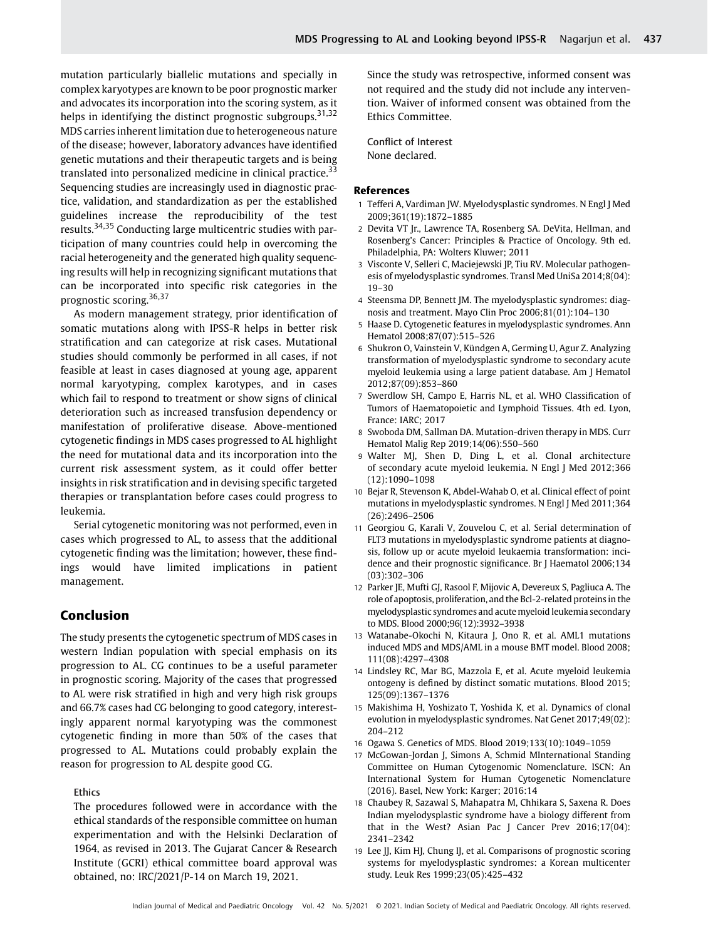mutation particularly biallelic mutations and specially in complex karyotypes are known to be poor prognostic marker and advocates its incorporation into the scoring system, as it helps in identifying the distinct prognostic subgroups.<sup>31,32</sup> MDS carries inherent limitation due to heterogeneous nature of the disease; however, laboratory advances have identified genetic mutations and their therapeutic targets and is being translated into personalized medicine in clinical practice. $33$ Sequencing studies are increasingly used in diagnostic practice, validation, and standardization as per the established guidelines increase the reproducibility of the test results.34,35 Conducting large multicentric studies with participation of many countries could help in overcoming the racial heterogeneity and the generated high quality sequencing results will help in recognizing significant mutations that can be incorporated into specific risk categories in the prognostic scoring.36,37

As modern management strategy, prior identification of somatic mutations along with IPSS-R helps in better risk stratification and can categorize at risk cases. Mutational studies should commonly be performed in all cases, if not feasible at least in cases diagnosed at young age, apparent normal karyotyping, complex karotypes, and in cases which fail to respond to treatment or show signs of clinical deterioration such as increased transfusion dependency or manifestation of proliferative disease. Above-mentioned cytogenetic findings in MDS cases progressed to AL highlight the need for mutational data and its incorporation into the current risk assessment system, as it could offer better insights in risk stratification and in devising specific targeted therapies or transplantation before cases could progress to leukemia.

Serial cytogenetic monitoring was not performed, even in cases which progressed to AL, to assess that the additional cytogenetic finding was the limitation; however, these findings would have limited implications in patient management.

# Conclusion

The study presents the cytogenetic spectrum of MDS cases in western Indian population with special emphasis on its progression to AL. CG continues to be a useful parameter in prognostic scoring. Majority of the cases that progressed to AL were risk stratified in high and very high risk groups and 66.7% cases had CG belonging to good category, interestingly apparent normal karyotyping was the commonest cytogenetic finding in more than 50% of the cases that progressed to AL. Mutations could probably explain the reason for progression to AL despite good CG.

#### Ethics

The procedures followed were in accordance with the ethical standards of the responsible committee on human experimentation and with the Helsinki Declaration of 1964, as revised in 2013. The Gujarat Cancer & Research Institute (GCRI) ethical committee board approval was obtained, no: IRC/2021/P-14 on March 19, 2021.

Since the study was retrospective, informed consent was not required and the study did not include any intervention. Waiver of informed consent was obtained from the Ethics Committee.

Conflict of Interest None declared.

#### References

- 1 Tefferi A, Vardiman JW. Myelodysplastic syndromes. N Engl J Med 2009;361(19):1872–1885
- 2 Devita VT Jr., Lawrence TA, Rosenberg SA. DeVita, Hellman, and Rosenberg's Cancer: Principles & Practice of Oncology. 9th ed. Philadelphia, PA: Wolters Kluwer; 2011
- 3 Visconte V, Selleri C, Maciejewski JP, Tiu RV. Molecular pathogenesis of myelodysplastic syndromes. Transl Med UniSa 2014;8(04): 19–30
- 4 Steensma DP, Bennett JM. The myelodysplastic syndromes: diagnosis and treatment. Mayo Clin Proc 2006;81(01):104–130
- 5 Haase D. Cytogenetic features in myelodysplastic syndromes. Ann Hematol 2008;87(07):515–526
- 6 Shukron O, Vainstein V, Kündgen A, Germing U, Agur Z. Analyzing transformation of myelodysplastic syndrome to secondary acute myeloid leukemia using a large patient database. Am J Hematol 2012;87(09):853–860
- 7 Swerdlow SH, Campo E, Harris NL, et al. WHO Classification of Tumors of Haematopoietic and Lymphoid Tissues. 4th ed. Lyon, France: IARC; 2017
- 8 Swoboda DM, Sallman DA. Mutation-driven therapy in MDS. Curr Hematol Malig Rep 2019;14(06):550–560
- 9 Walter MJ, Shen D, Ding L, et al. Clonal architecture of secondary acute myeloid leukemia. N Engl J Med 2012;366 (12):1090–1098
- 10 Bejar R, Stevenson K, Abdel-Wahab O, et al. Clinical effect of point mutations in myelodysplastic syndromes. N Engl J Med 2011;364 (26):2496–2506
- 11 Georgiou G, Karali V, Zouvelou C, et al. Serial determination of FLT3 mutations in myelodysplastic syndrome patients at diagnosis, follow up or acute myeloid leukaemia transformation: incidence and their prognostic significance. Br J Haematol 2006;134 (03):302–306
- 12 Parker JE, Mufti GJ, Rasool F, Mijovic A, Devereux S, Pagliuca A. The role of apoptosis, proliferation, and the Bcl-2-related proteins in the myelodysplastic syndromes and acute myeloid leukemia secondary to MDS. Blood 2000;96(12):3932–3938
- 13 Watanabe-Okochi N, Kitaura J, Ono R, et al. AML1 mutations induced MDS and MDS/AML in a mouse BMT model. Blood 2008; 111(08):4297–4308
- 14 Lindsley RC, Mar BG, Mazzola E, et al. Acute myeloid leukemia ontogeny is defined by distinct somatic mutations. Blood 2015; 125(09):1367–1376
- 15 Makishima H, Yoshizato T, Yoshida K, et al. Dynamics of clonal evolution in myelodysplastic syndromes. Nat Genet 2017;49(02): 204–212
- 16 Ogawa S. Genetics of MDS. Blood 2019;133(10):1049–1059
- 17 McGowan-Jordan J, Simons A, Schmid MInternational Standing Committee on Human Cytogenomic Nomenclature. ISCN: An International System for Human Cytogenetic Nomenclature (2016). Basel, New York: Karger; 2016:14
- 18 Chaubey R, Sazawal S, Mahapatra M, Chhikara S, Saxena R. Does Indian myelodysplastic syndrome have a biology different from that in the West? Asian Pac J Cancer Prev 2016;17(04): 2341–2342
- 19 Lee JJ, Kim HJ, Chung IJ, et al. Comparisons of prognostic scoring systems for myelodysplastic syndromes: a Korean multicenter study. Leuk Res 1999;23(05):425–432